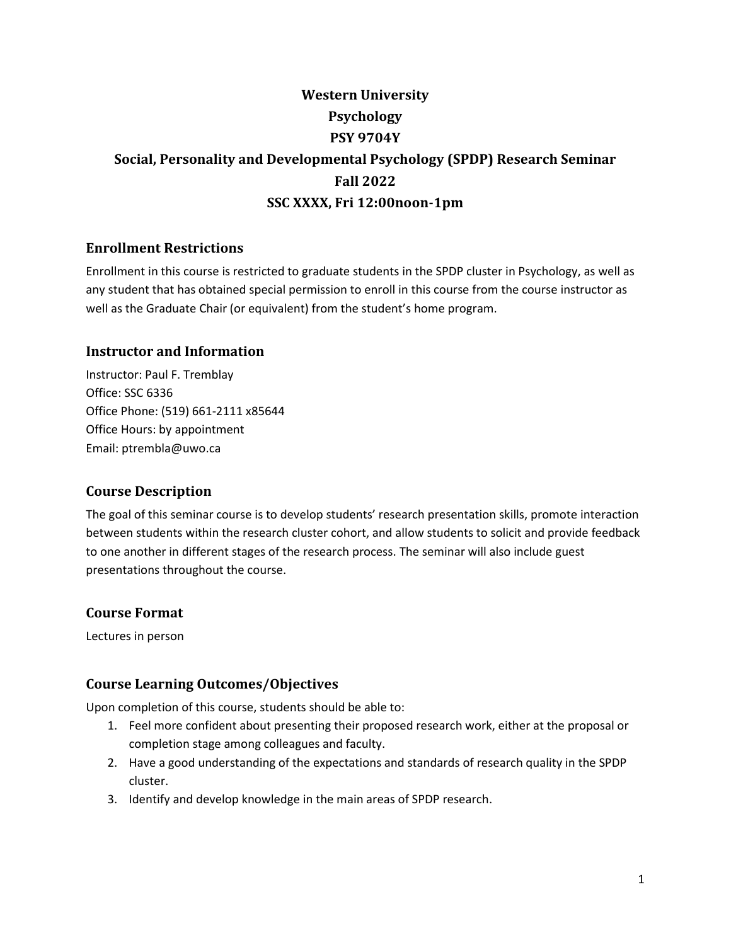# **Western University Psychology PSY 9704Y Social, Personality and Developmental Psychology (SPDP) Research Seminar Fall 2022 SSC XXXX, Fri 12:00noon-1pm**

# **Enrollment Restrictions**

Enrollment in this course is restricted to graduate students in the SPDP cluster in Psychology, as well as any student that has obtained special permission to enroll in this course from the course instructor as well as the Graduate Chair (or equivalent) from the student's home program.

## **Instructor and Information**

Instructor: Paul F. Tremblay Office: SSC 6336 Office Phone: (519) 661-2111 x85644 Office Hours: by appointment Email: ptrembla@uwo.ca

#### **Course Description**

The goal of this seminar course is to develop students' research presentation skills, promote interaction between students within the research cluster cohort, and allow students to solicit and provide feedback to one another in different stages of the research process. The seminar will also include guest presentations throughout the course.

#### **Course Format**

Lectures in person

## **Course Learning Outcomes/Objectives**

Upon completion of this course, students should be able to:

- 1. Feel more confident about presenting their proposed research work, either at the proposal or completion stage among colleagues and faculty.
- 2. Have a good understanding of the expectations and standards of research quality in the SPDP cluster.
- 3. Identify and develop knowledge in the main areas of SPDP research.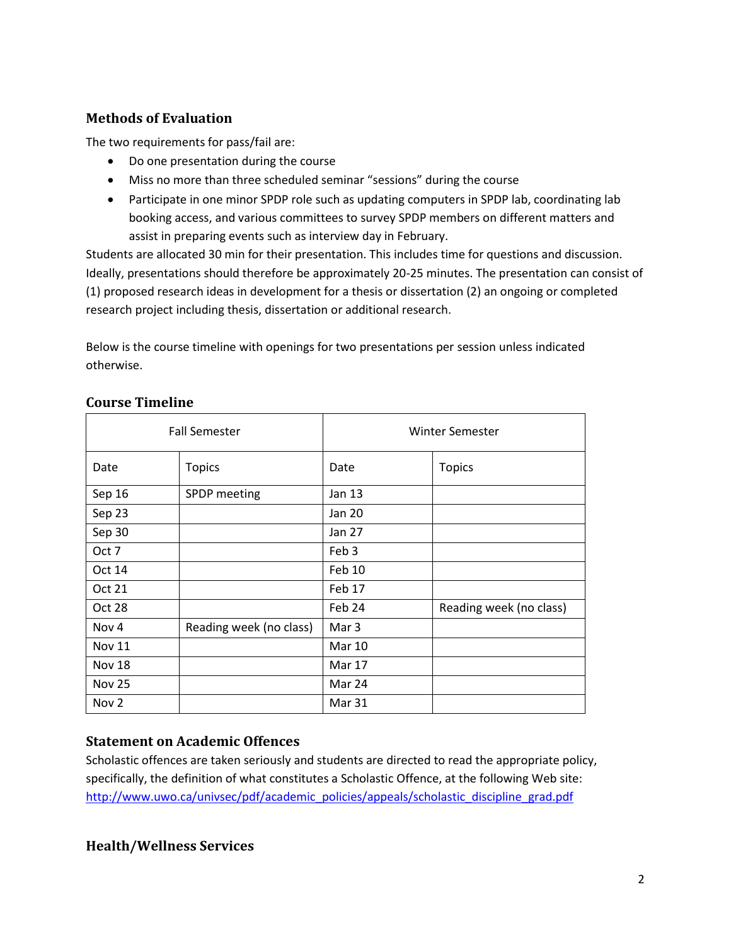# **Methods of Evaluation**

The two requirements for pass/fail are:

- Do one presentation during the course
- Miss no more than three scheduled seminar "sessions" during the course
- Participate in one minor SPDP role such as updating computers in SPDP lab, coordinating lab booking access, and various committees to survey SPDP members on different matters and assist in preparing events such as interview day in February.

Students are allocated 30 min for their presentation. This includes time for questions and discussion. Ideally, presentations should therefore be approximately 20-25 minutes. The presentation can consist of (1) proposed research ideas in development for a thesis or dissertation (2) an ongoing or completed research project including thesis, dissertation or additional research.

Below is the course timeline with openings for two presentations per session unless indicated otherwise.

| <b>Fall Semester</b> |                         | Winter Semester  |                         |
|----------------------|-------------------------|------------------|-------------------------|
| Date                 | <b>Topics</b>           | Date             | <b>Topics</b>           |
| Sep 16               | SPDP meeting            | Jan 13           |                         |
| Sep 23               |                         | Jan 20           |                         |
| Sep 30               |                         | Jan 27           |                         |
| Oct 7                |                         | Feb 3            |                         |
| Oct 14               |                         | Feb 10           |                         |
| Oct 21               |                         | Feb 17           |                         |
| Oct 28               |                         | Feb 24           | Reading week (no class) |
| Nov 4                | Reading week (no class) | Mar <sub>3</sub> |                         |
| <b>Nov 11</b>        |                         | <b>Mar 10</b>    |                         |
| <b>Nov 18</b>        |                         | <b>Mar 17</b>    |                         |
| <b>Nov 25</b>        |                         | Mar 24           |                         |
| Nov 2                |                         | Mar 31           |                         |

#### **Course Timeline**

## **Statement on Academic Offences**

Scholastic offences are taken seriously and students are directed to read the appropriate policy, specifically, the definition of what constitutes a Scholastic Offence, at the following Web site: [http://www.uwo.ca/univsec/pdf/academic\\_policies/appeals/scholastic\\_discipline\\_grad.pdf](http://www.uwo.ca/univsec/pdf/academic_policies/appeals/scholastic_discipline_grad.pdf)